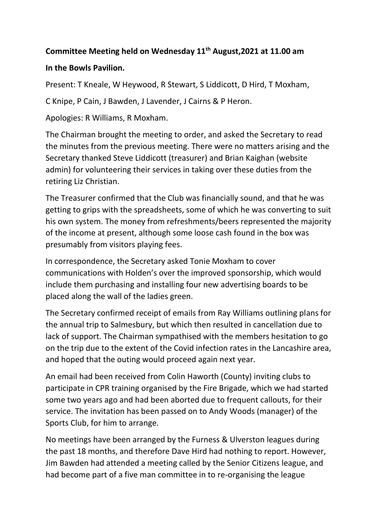## **Committee Meeting held on Wednesday 11 th August,2021 at 11.00 am**

## **In the Bowls Pavilion.**

Present: T Kneale, W Heywood, R Stewart, S Liddicott, D Hird, T Moxham,

C Knipe, P Cain, J Bawden, J Lavender, J Cairns & P Heron.

Apologies: R Williams, R Moxham.

The Chairman brought the meeting to order, and asked the Secretary to read the minutes from the previous meeting. There were no matters arising and the Secretary thanked Steve Liddicott (treasurer) and Brian Kaighan (website admin) for volunteering their services in taking over these duties from the retiring Liz Christian.

The Treasurer confirmed that the Club was financially sound, and that he was getting to grips with the spreadsheets, some of which he was converting to suit his own system. The money from refreshments/beers represented the majority of the income at present, although some loose cash found in the box was presumably from visitors playing fees.

In correspondence, the Secretary asked Tonie Moxham to cover communications with Holden's over the improved sponsorship, which would include them purchasing and installing four new advertising boards to be placed along the wall of the ladies green.

The Secretary confirmed receipt of emails from Ray Williams outlining plans for the annual trip to Salmesbury, but which then resulted in cancellation due to lack of support. The Chairman sympathised with the members hesitation to go on the trip due to the extent of the Covid infection rates in the Lancashire area, and hoped that the outing would proceed again next year.

An email had been received from Colin Haworth (County) inviting clubs to participate in CPR training organised by the Fire Brigade, which we had started some two years ago and had been aborted due to frequent callouts, for their service. The invitation has been passed on to Andy Woods (manager) of the Sports Club, for him to arrange.

No meetings have been arranged by the Furness & Ulverston leagues during the past 18 months, and therefore Dave Hird had nothing to report. However, Jim Bawden had attended a meeting called by the Senior Citizens league, and had become part of a five man committee in to re-organising the league